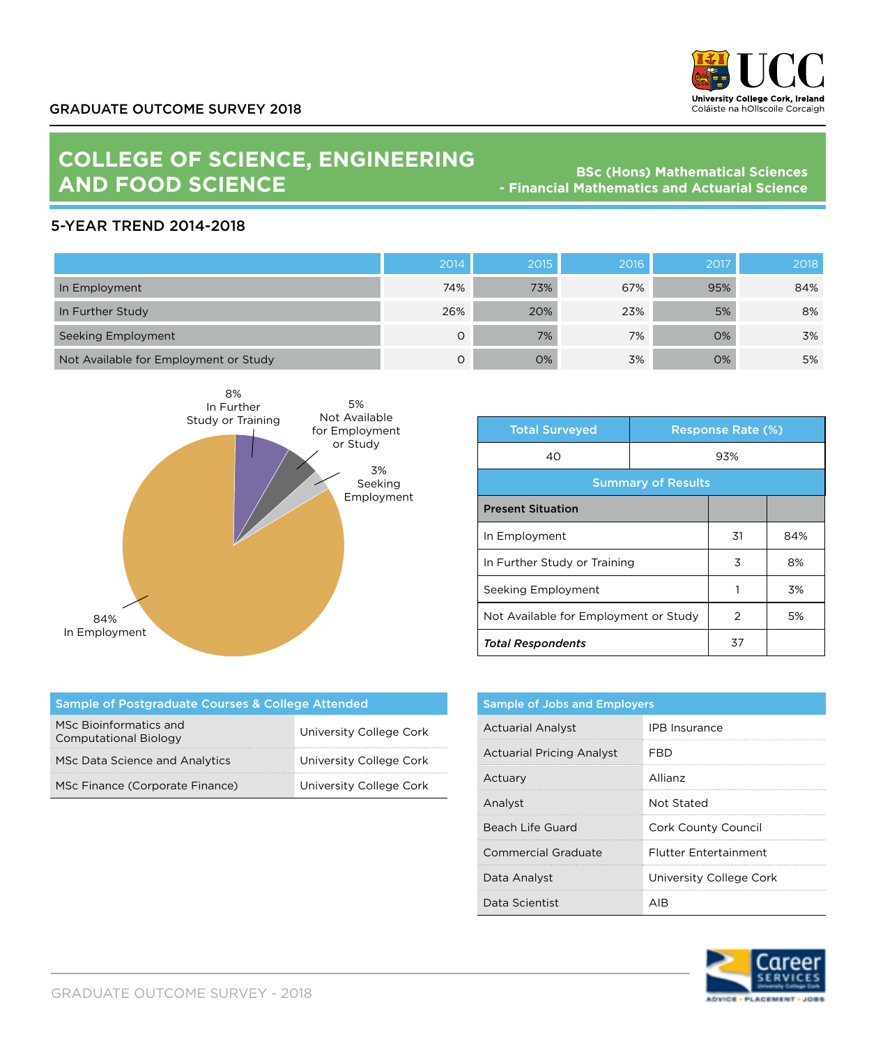

## **COLLEGE OF SCIENCE, ENGINEERING AND FOOD SCIENCE**

**BSc (Hons) Mathematical Sciences - Financial Mathematics and Actuarial Science**

## 5-YEAR TREND 2014-2018

|                                       | 2014 | 2015 | 2016 | 2017 | 2018 |
|---------------------------------------|------|------|------|------|------|
| In Employment                         | 74%  | 73%  | 67%  | 95%  | 84%  |
| In Further Study                      | 26%  | 20%  | 23%  | 5%   | 8%   |
| Seeking Employment                    | O    | 7%   | 7%   | 0%   | 3%   |
| Not Available for Employment or Study | O    | 0%   | 3%   | 0%   | 5%   |



| <b>Total Surveyed</b>                 | <b>Response Rate (%)</b> |    |     |
|---------------------------------------|--------------------------|----|-----|
| 40                                    | 93%                      |    |     |
| <b>Summary of Results</b>             |                          |    |     |
| <b>Present Situation</b>              |                          |    |     |
| In Employment                         |                          | 31 | 84% |
| In Further Study or Training          |                          | 3  | 8%  |
| Seeking Employment                    |                          |    | 3%  |
| Not Available for Employment or Study |                          | 2  | 5%  |
| <b>Total Respondents</b>              |                          | 37 |     |

| Sample of Postgraduate Courses & College Attended      |                         |  |  |
|--------------------------------------------------------|-------------------------|--|--|
| MSc Bioinformatics and<br><b>Computational Biology</b> | University College Cork |  |  |
| MSc Data Science and Analytics                         | University College Cork |  |  |
| MSc Finance (Corporate Finance)                        | University College Cork |  |  |

| <b>Sample of Jobs and Employers</b> |                              |  |
|-------------------------------------|------------------------------|--|
| <b>Actuarial Analyst</b>            | <b>IPB</b> Insurance         |  |
| <b>Actuarial Pricing Analyst</b>    | FRD                          |  |
| Actuary                             | Allianz                      |  |
| Analyst                             | Not Stated                   |  |
| Beach Life Guard                    | Cork County Council          |  |
| Commercial Graduate                 | <b>Flutter Entertainment</b> |  |
| Data Analyst                        | University College Cork      |  |
| Data Scientist                      |                              |  |